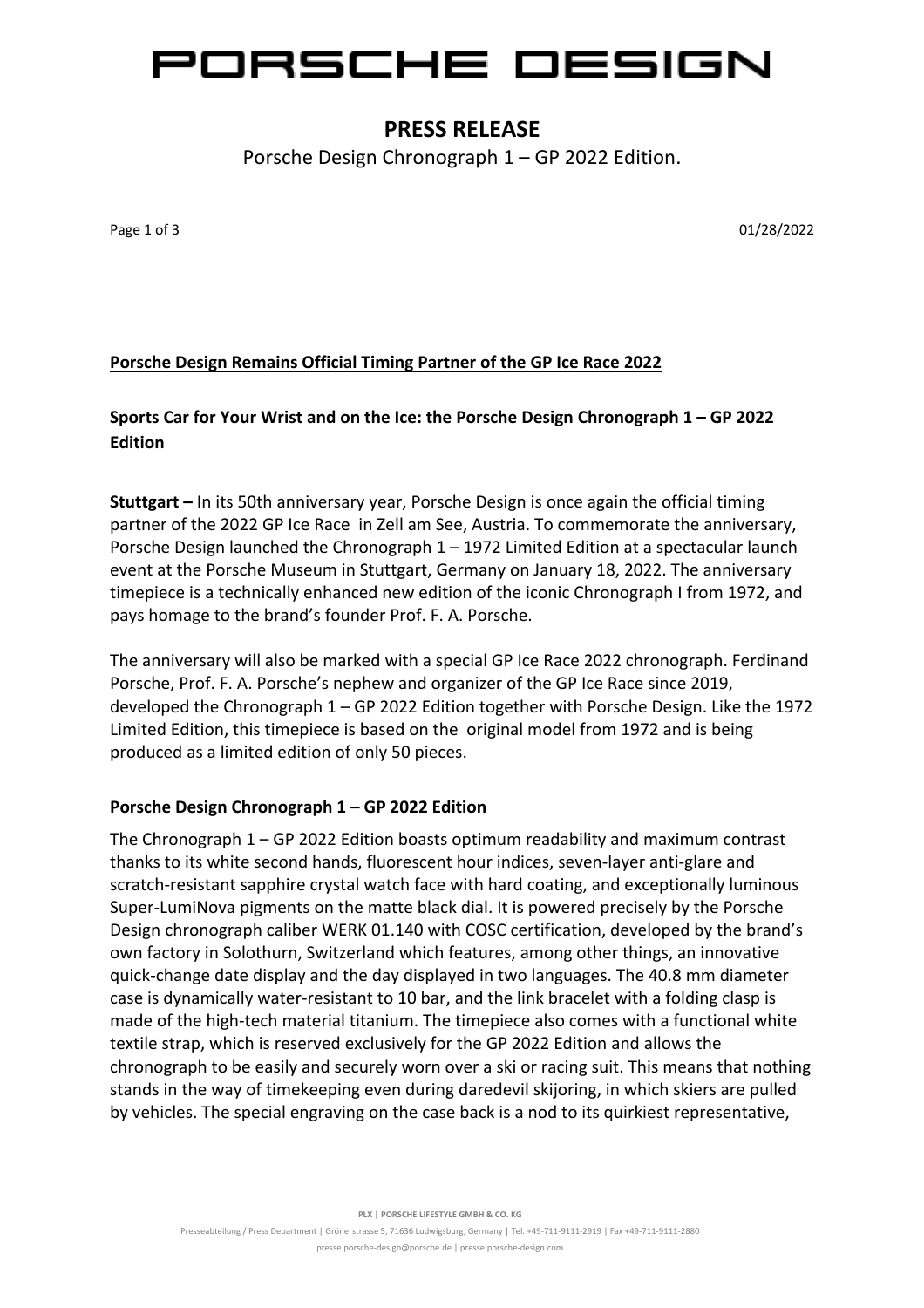# ORSCHE DESIGN

## **PRESS RELEASE**

Porsche Design Chronograph 1 – GP 2022 Edition.

Page 1 of 3 01/28/2022

## **Porsche Design Remains Official Timing Partner of the GP Ice Race 2022**

## **Sports Car for Your Wrist and on the Ice: the Porsche Design Chronograph 1 – GP 2022 Edition**

**Stuttgart –** In its 50th anniversary year, Porsche Design is once again the official timing partner of the 2022 GP Ice Race in Zell am See, Austria. To commemorate the anniversary, Porsche Design launched the Chronograph 1 – 1972 Limited Edition at a spectacular launch event at the Porsche Museum in Stuttgart, Germany on January 18, 2022. The anniversary timepiece is a technically enhanced new edition of the iconic Chronograph I from 1972, and pays homage to the brand's founder Prof. F. A. Porsche.

The anniversary will also be marked with a special GP Ice Race 2022 chronograph. Ferdinand Porsche, Prof. F. A. Porsche's nephew and organizer of the GP Ice Race since 2019, developed the Chronograph 1 – GP 2022 Edition together with Porsche Design. Like the 1972 Limited Edition, this timepiece is based on the original model from 1972 and is being produced as a limited edition of only 50 pieces.

### **Porsche Design Chronograph 1 – GP 2022 Edition**

The Chronograph 1 – GP 2022 Edition boasts optimum readability and maximum contrast thanks to its white second hands, fluorescent hour indices, seven-layer anti-glare and scratch-resistant sapphire crystal watch face with hard coating, and exceptionally luminous Super-LumiNova pigments on the matte black dial. It is powered precisely by the Porsche Design chronograph caliber WERK 01.140 with COSC certification, developed by the brand's own factory in Solothurn, Switzerland which features, among other things, an innovative quick-change date display and the day displayed in two languages. The 40.8 mm diameter case is dynamically water-resistant to 10 bar, and the link bracelet with a folding clasp is made of the high-tech material titanium. The timepiece also comes with a functional white textile strap, which is reserved exclusively for the GP 2022 Edition and allows the chronograph to be easily and securely worn over a ski or racing suit. This means that nothing stands in the way of timekeeping even during daredevil skijoring, in which skiers are pulled by vehicles. The special engraving on the case back is a nod to its quirkiest representative,

**PLX | PORSCHE LIFESTYLE GMBH & CO. KG**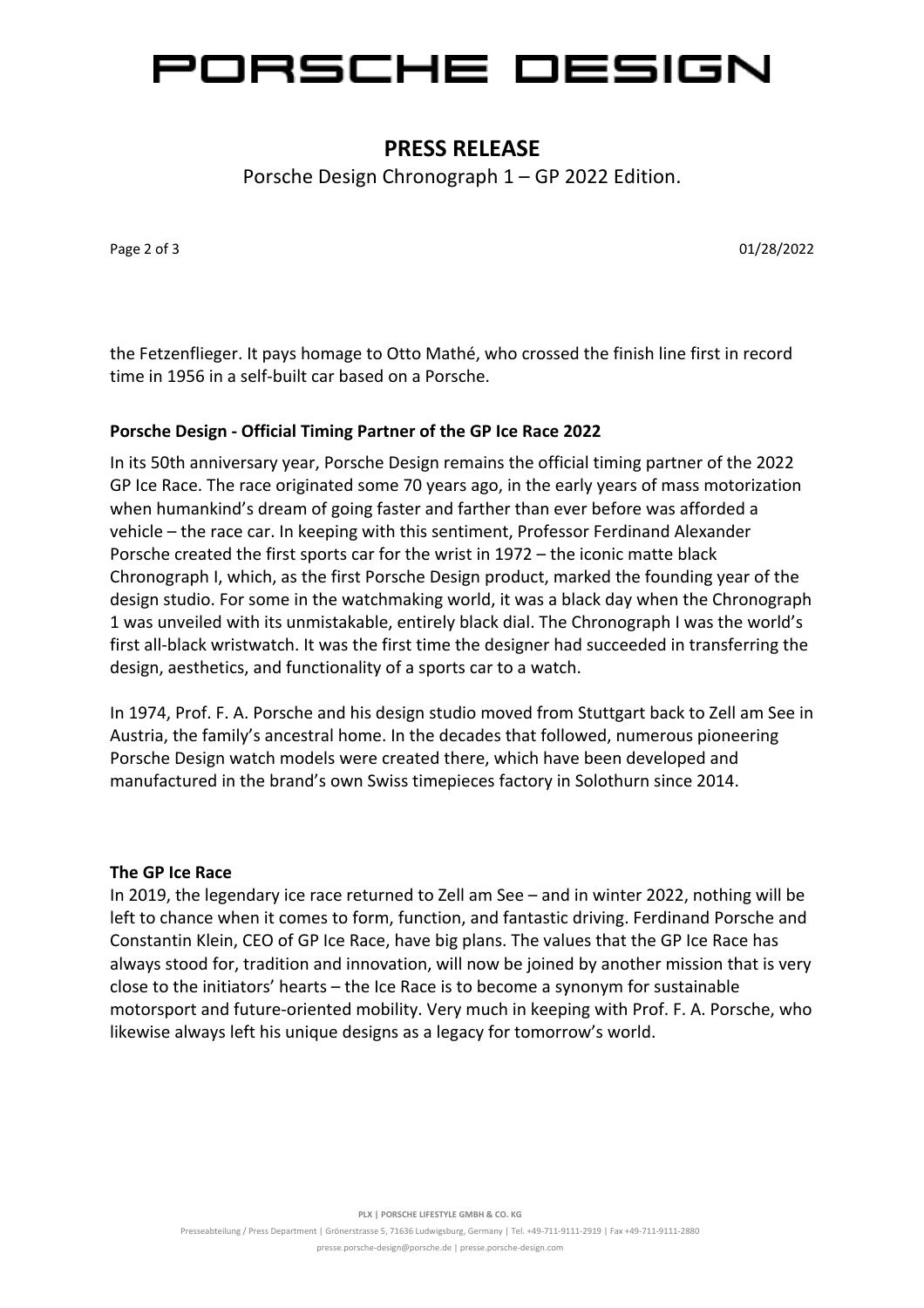

## **PRESS RELEASE**

Porsche Design Chronograph 1 – GP 2022 Edition.

Page 2 of 3 01/28/2022

the Fetzenflieger. It pays homage to Otto Mathé, who crossed the finish line first in record time in 1956 in a self-built car based on a Porsche.

#### **Porsche Design - Official Timing Partner of the GP Ice Race 2022**

In its 50th anniversary year, Porsche Design remains the official timing partner of the 2022 GP Ice Race. The race originated some 70 years ago, in the early years of mass motorization when humankind's dream of going faster and farther than ever before was afforded a vehicle – the race car. In keeping with this sentiment, Professor Ferdinand Alexander Porsche created the first sports car for the wrist in 1972 – the iconic matte black Chronograph I, which, as the first Porsche Design product, marked the founding year of the design studio. For some in the watchmaking world, it was a black day when the Chronograph 1 was unveiled with its unmistakable, entirely black dial. The Chronograph I was the world's first all-black wristwatch. It was the first time the designer had succeeded in transferring the design, aesthetics, and functionality of a sports car to a watch.

In 1974, Prof. F. A. Porsche and his design studio moved from Stuttgart back to Zell am See in Austria, the family's ancestral home. In the decades that followed, numerous pioneering Porsche Design watch models were created there, which have been developed and manufactured in the brand's own Swiss timepieces factory in Solothurn since 2014.

#### **The GP Ice Race**

In 2019, the legendary ice race returned to Zell am See – and in winter 2022, nothing will be left to chance when it comes to form, function, and fantastic driving. Ferdinand Porsche and Constantin Klein, CEO of GP Ice Race, have big plans. The values that the GP Ice Race has always stood for, tradition and innovation, will now be joined by another mission that is very close to the initiators' hearts – the Ice Race is to become a synonym for sustainable motorsport and future-oriented mobility. Very much in keeping with Prof. F. A. Porsche, who likewise always left his unique designs as a legacy for tomorrow's world.